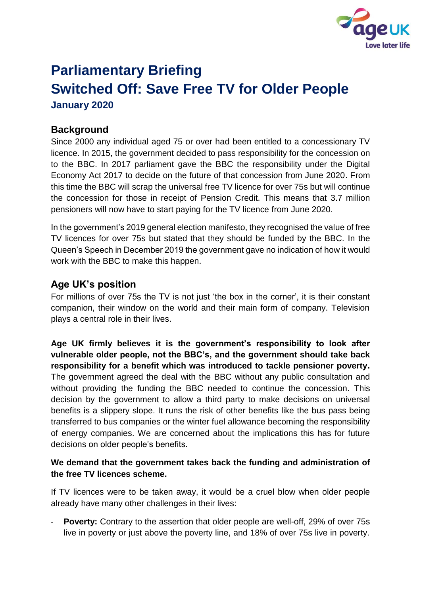

# **Parliamentary Briefing Switched Off: Save Free TV for Older People January 2020**

# **Background**

Since 2000 any individual aged 75 or over had been entitled to a concessionary TV licence. In 2015, the government decided to pass responsibility for the concession on to the BBC. In 2017 parliament gave the BBC the responsibility under the Digital Economy Act 2017 to decide on the future of that concession from June 2020. From this time the BBC will scrap the universal free TV licence for over 75s but will continue the concession for those in receipt of Pension Credit. This means that 3.7 million pensioners will now have to start paying for the TV licence from June 2020.

In the government's 2019 general election manifesto, they recognised the value of free TV licences for over 75s but stated that they should be funded by the BBC. In the Queen's Speech in December 2019 the government gave no indication of how it would work with the BBC to make this happen.

## **Age UK's position**

For millions of over 75s the TV is not just 'the box in the corner', it is their constant companion, their window on the world and their main form of company. Television plays a central role in their lives.

**Age UK firmly believes it is the government's responsibility to look after vulnerable older people, not the BBC's, and the government should take back responsibility for a benefit which was introduced to tackle pensioner poverty.** The government agreed the deal with the BBC without any public consultation and without providing the funding the BBC needed to continue the concession. This decision by the government to allow a third party to make decisions on universal benefits is a slippery slope. It runs the risk of other benefits like the bus pass being transferred to bus companies or the winter fuel allowance becoming the responsibility of energy companies. We are concerned about the implications this has for future decisions on older people's benefits.

#### **We demand that the government takes back the funding and administration of the free TV licences scheme.**

If TV licences were to be taken away, it would be a cruel blow when older people already have many other challenges in their lives:

**Poverty:** Contrary to the assertion that older people are well-off, 29% of over 75s live in poverty or just above the poverty line, and 18% of over 75s live in poverty.